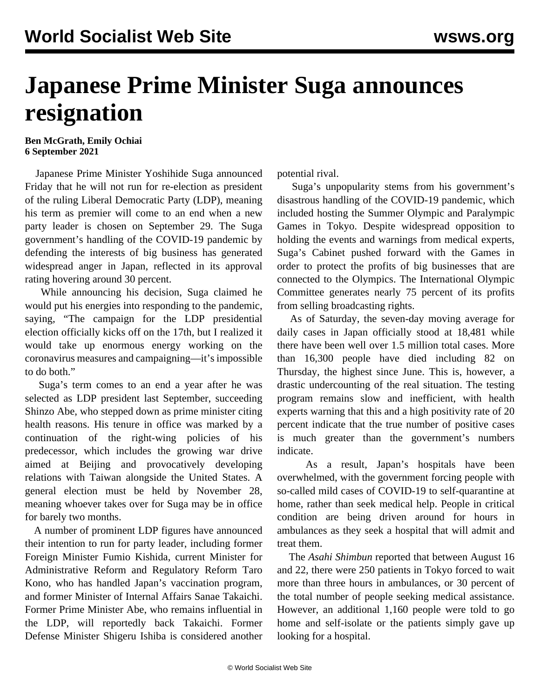## **Japanese Prime Minister Suga announces resignation**

## **Ben McGrath, Emily Ochiai 6 September 2021**

 Japanese Prime Minister Yoshihide Suga announced Friday that he will not run for re-election as president of the ruling Liberal Democratic Party (LDP), meaning his term as premier will come to an end when a new party leader is chosen on September 29. The Suga government's handling of the COVID-19 pandemic by defending the interests of big business has generated widespread anger in Japan, reflected in its approval rating hovering around 30 percent.

 While announcing his decision, Suga claimed he would put his energies into responding to the pandemic, saying, "The campaign for the LDP presidential election officially kicks off on the 17th, but I realized it would take up enormous energy working on the coronavirus measures and campaigning—it's impossible to do both."

 Suga's term comes to an end a year after he was selected as LDP president last September, succeeding Shinzo Abe, who stepped down as prime minister citing health reasons. His tenure in office was marked by a continuation of the right-wing policies of his predecessor, which includes the growing war drive aimed at Beijing and provocatively developing relations with Taiwan alongside the United States. A general election must be held by November 28, meaning whoever takes over for Suga may be in office for barely two months.

 A number of prominent LDP figures have announced their intention to run for party leader, including former Foreign Minister Fumio Kishida, current Minister for Administrative Reform and Regulatory Reform Taro Kono, who has handled Japan's vaccination program, and former Minister of Internal Affairs Sanae Takaichi. Former Prime Minister Abe, who remains influential in the LDP, will reportedly back Takaichi. Former Defense Minister Shigeru Ishiba is considered another

potential rival.

 Suga's unpopularity stems from his government's disastrous handling of the COVID-19 pandemic, which included hosting the Summer Olympic and Paralympic Games in Tokyo. Despite widespread opposition to holding the events and warnings from medical experts, Suga's Cabinet pushed forward with the Games in order to protect the profits of big businesses that are connected to the Olympics. The International Olympic Committee generates nearly 75 percent of its profits from selling broadcasting rights.

 As of Saturday, the seven-day moving average for daily cases in Japan officially stood at 18,481 while there have been well over 1.5 million total cases. More than 16,300 people have died including 82 on Thursday, the highest since June. This is, however, a drastic undercounting of the real situation. The testing program remains slow and inefficient, with health experts warning that this and a high positivity rate of 20 percent indicate that the true number of positive cases is much greater than the government's numbers indicate.

 As a result, Japan's hospitals have been overwhelmed, with the government forcing people with so-called mild cases of COVID-19 to self-quarantine at home, rather than seek medical help. People in critical condition are being driven around for hours in ambulances as they seek a hospital that will admit and treat them.

 The *Asahi Shimbun* reported that between August 16 and 22, there were 250 patients in Tokyo forced to wait more than three hours in ambulances, or 30 percent of the total number of people seeking medical assistance. However, an additional 1,160 people were told to go home and self-isolate or the patients simply gave up looking for a hospital.